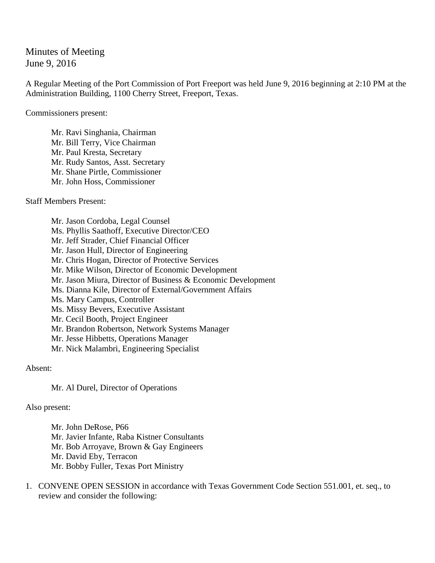Minutes of Meeting June 9, 2016

A Regular Meeting of the Port Commission of Port Freeport was held June 9, 2016 beginning at 2:10 PM at the Administration Building, 1100 Cherry Street, Freeport, Texas.

Commissioners present:

Mr. Ravi Singhania, Chairman Mr. Bill Terry, Vice Chairman Mr. Paul Kresta, Secretary Mr. Rudy Santos, Asst. Secretary Mr. Shane Pirtle, Commissioner Mr. John Hoss, Commissioner

Staff Members Present:

Mr. Jason Cordoba, Legal Counsel Ms. Phyllis Saathoff, Executive Director/CEO Mr. Jeff Strader, Chief Financial Officer Mr. Jason Hull, Director of Engineering Mr. Chris Hogan, Director of Protective Services Mr. Mike Wilson, Director of Economic Development Mr. Jason Miura, Director of Business & Economic Development Ms. Dianna Kile, Director of External/Government Affairs Ms. Mary Campus, Controller Ms. Missy Bevers, Executive Assistant Mr. Cecil Booth, Project Engineer Mr. Brandon Robertson, Network Systems Manager Mr. Jesse Hibbetts, Operations Manager Mr. Nick Malambri, Engineering Specialist

Absent:

Mr. Al Durel, Director of Operations

Also present:

Mr. John DeRose, P66 Mr. Javier Infante, Raba Kistner Consultants Mr. Bob Arroyave, Brown & Gay Engineers Mr. David Eby, Terracon Mr. Bobby Fuller, Texas Port Ministry

1. CONVENE OPEN SESSION in accordance with Texas Government Code Section 551.001, et. seq., to review and consider the following: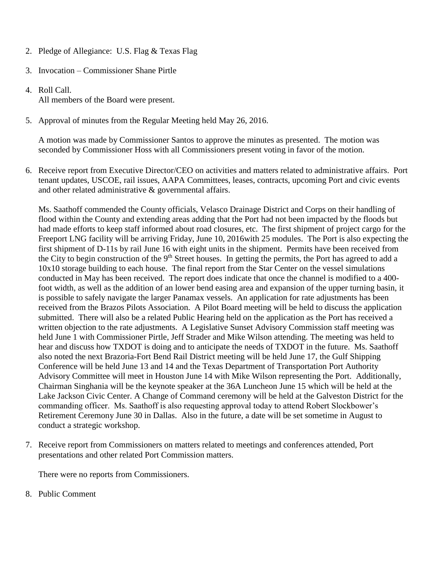- 2. Pledge of Allegiance: U.S. Flag & Texas Flag
- 3. Invocation Commissioner Shane Pirtle
- 4. Roll Call. All members of the Board were present.
- 5. Approval of minutes from the Regular Meeting held May 26, 2016.

A motion was made by Commissioner Santos to approve the minutes as presented. The motion was seconded by Commissioner Hoss with all Commissioners present voting in favor of the motion.

6. Receive report from Executive Director/CEO on activities and matters related to administrative affairs. Port tenant updates, USCOE, rail issues, AAPA Committees, leases, contracts, upcoming Port and civic events and other related administrative & governmental affairs.

Ms. Saathoff commended the County officials, Velasco Drainage District and Corps on their handling of flood within the County and extending areas adding that the Port had not been impacted by the floods but had made efforts to keep staff informed about road closures, etc. The first shipment of project cargo for the Freeport LNG facility will be arriving Friday, June 10, 2016with 25 modules. The Port is also expecting the first shipment of D-11s by rail June 16 with eight units in the shipment. Permits have been received from the City to begin construction of the 9<sup>th</sup> Street houses. In getting the permits, the Port has agreed to add a 10x10 storage building to each house. The final report from the Star Center on the vessel simulations conducted in May has been received. The report does indicate that once the channel is modified to a 400 foot width, as well as the addition of an lower bend easing area and expansion of the upper turning basin, it is possible to safely navigate the larger Panamax vessels. An application for rate adjustments has been received from the Brazos Pilots Association. A Pilot Board meeting will be held to discuss the application submitted. There will also be a related Public Hearing held on the application as the Port has received a written objection to the rate adjustments. A Legislative Sunset Advisory Commission staff meeting was held June 1 with Commissioner Pirtle, Jeff Strader and Mike Wilson attending. The meeting was held to hear and discuss how TXDOT is doing and to anticipate the needs of TXDOT in the future. Ms. Saathoff also noted the next Brazoria-Fort Bend Rail District meeting will be held June 17, the Gulf Shipping Conference will be held June 13 and 14 and the Texas Department of Transportation Port Authority Advisory Committee will meet in Houston June 14 with Mike Wilson representing the Port. Additionally, Chairman Singhania will be the keynote speaker at the 36A Luncheon June 15 which will be held at the Lake Jackson Civic Center. A Change of Command ceremony will be held at the Galveston District for the commanding officer. Ms. Saathoff is also requesting approval today to attend Robert Slockbower's Retirement Ceremony June 30 in Dallas. Also in the future, a date will be set sometime in August to conduct a strategic workshop.

7. Receive report from Commissioners on matters related to meetings and conferences attended, Port presentations and other related Port Commission matters.

There were no reports from Commissioners.

8. Public Comment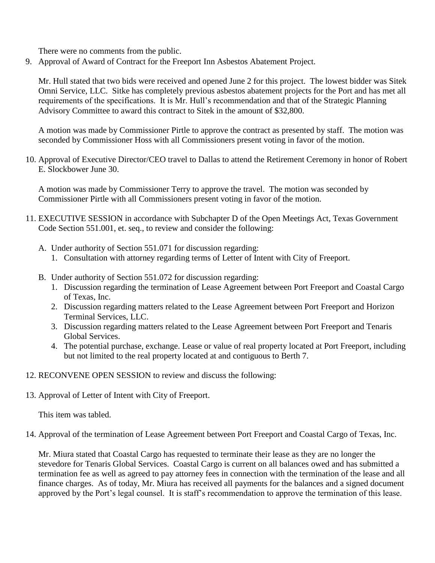There were no comments from the public.

9. Approval of Award of Contract for the Freeport Inn Asbestos Abatement Project.

Mr. Hull stated that two bids were received and opened June 2 for this project. The lowest bidder was Sitek Omni Service, LLC. Sitke has completely previous asbestos abatement projects for the Port and has met all requirements of the specifications. It is Mr. Hull's recommendation and that of the Strategic Planning Advisory Committee to award this contract to Sitek in the amount of \$32,800.

A motion was made by Commissioner Pirtle to approve the contract as presented by staff. The motion was seconded by Commissioner Hoss with all Commissioners present voting in favor of the motion.

10. Approval of Executive Director/CEO travel to Dallas to attend the Retirement Ceremony in honor of Robert E. Slockbower June 30.

A motion was made by Commissioner Terry to approve the travel. The motion was seconded by Commissioner Pirtle with all Commissioners present voting in favor of the motion.

- 11. EXECUTIVE SESSION in accordance with Subchapter D of the Open Meetings Act, Texas Government Code Section 551.001, et. seq., to review and consider the following:
	- A. Under authority of Section 551.071 for discussion regarding:
		- 1. Consultation with attorney regarding terms of Letter of Intent with City of Freeport.
	- B. Under authority of Section 551.072 for discussion regarding:
		- 1. Discussion regarding the termination of Lease Agreement between Port Freeport and Coastal Cargo of Texas, Inc.
		- 2. Discussion regarding matters related to the Lease Agreement between Port Freeport and Horizon Terminal Services, LLC.
		- 3. Discussion regarding matters related to the Lease Agreement between Port Freeport and Tenaris Global Services.
		- 4. The potential purchase, exchange. Lease or value of real property located at Port Freeport, including but not limited to the real property located at and contiguous to Berth 7.
- 12. RECONVENE OPEN SESSION to review and discuss the following:
- 13. Approval of Letter of Intent with City of Freeport.

This item was tabled.

14. Approval of the termination of Lease Agreement between Port Freeport and Coastal Cargo of Texas, Inc.

Mr. Miura stated that Coastal Cargo has requested to terminate their lease as they are no longer the stevedore for Tenaris Global Services. Coastal Cargo is current on all balances owed and has submitted a termination fee as well as agreed to pay attorney fees in connection with the termination of the lease and all finance charges. As of today, Mr. Miura has received all payments for the balances and a signed document approved by the Port's legal counsel. It is staff's recommendation to approve the termination of this lease.